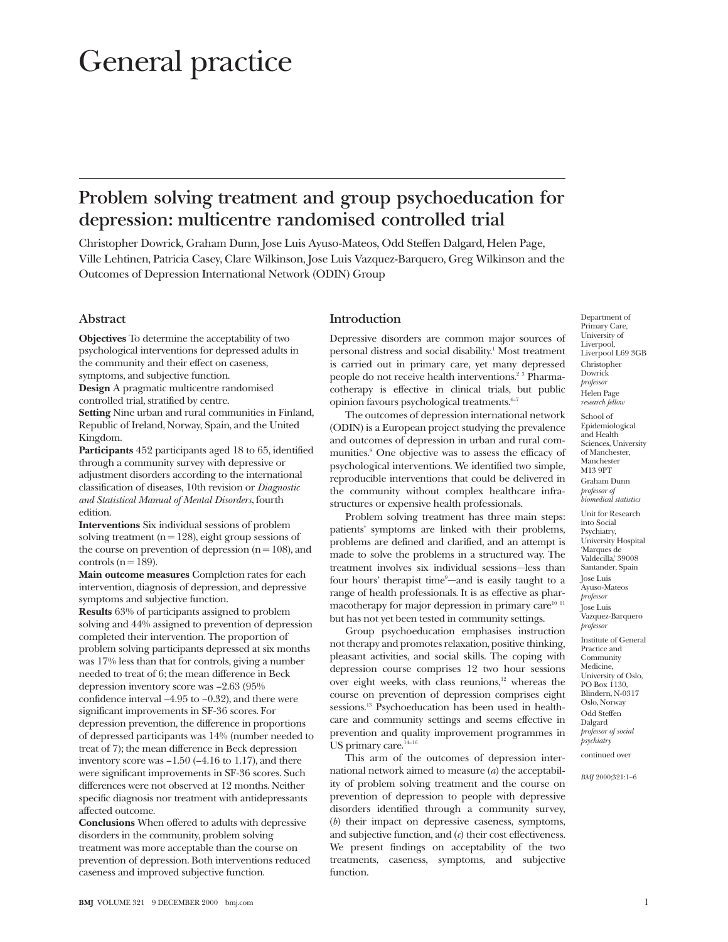# General practice

# **Problem solving treatment and group psychoeducation for depression: multicentre randomised controlled trial**

Christopher Dowrick, Graham Dunn, Jose Luis Ayuso-Mateos, Odd Steffen Dalgard, Helen Page, Ville Lehtinen, Patricia Casey, Clare Wilkinson, Jose Luis Vazquez-Barquero, Greg Wilkinson and the Outcomes of Depression International Network (ODIN) Group

# **Abstract**

**Objectives** To determine the acceptability of two psychological interventions for depressed adults in the community and their effect on caseness, symptoms, and subjective function.

**Design** A pragmatic multicentre randomised controlled trial, stratified by centre. **Setting** Nine urban and rural communities in Finland,

Republic of Ireland, Norway, Spain, and the United Kingdom.

**Participants** 452 participants aged 18 to 65, identified through a community survey with depressive or adjustment disorders according to the international classification of diseases, 10th revision or *Diagnostic and Statistical Manual of Mental Disorders*, fourth edition.

**Interventions** Six individual sessions of problem solving treatment ( $n = 128$ ), eight group sessions of the course on prevention of depression  $(n = 108)$ , and controls ( $n = 189$ ).

**Main outcome measures** Completion rates for each intervention, diagnosis of depression, and depressive symptoms and subjective function.

**Results** 63% of participants assigned to problem solving and 44% assigned to prevention of depression completed their intervention. The proportion of problem solving participants depressed at six months was 17% less than that for controls, giving a number needed to treat of 6; the mean difference in Beck depression inventory score was –2.63 (95% confidence interval –4.95 to –0.32), and there were significant improvements in SF-36 scores. For depression prevention, the difference in proportions of depressed participants was 14% (number needed to treat of 7); the mean difference in Beck depression inventory score was  $-1.50$  ( $-4.16$  to 1.17), and there were significant improvements in SF-36 scores. Such differences were not observed at 12 months. Neither specific diagnosis nor treatment with antidepressants affected outcome.

**Conclusions** When offered to adults with depressive disorders in the community, problem solving treatment was more acceptable than the course on prevention of depression. Both interventions reduced caseness and improved subjective function.

# **Introduction**

Depressive disorders are common major sources of personal distress and social disability.<sup>1</sup> Most treatment is carried out in primary care, yet many depressed people do not receive health interventions.<sup>2 3</sup> Pharmacotherapy is effective in clinical trials, but public opinion favours psychological treatments.4–7

The outcomes of depression international network (ODIN) is a European project studying the prevalence and outcomes of depression in urban and rural communities.8 One objective was to assess the efficacy of psychological interventions. We identified two simple, reproducible interventions that could be delivered in the community without complex healthcare infrastructures or expensive health professionals.

Problem solving treatment has three main steps: patients' symptoms are linked with their problems, problems are defined and clarified, and an attempt is made to solve the problems in a structured way. The treatment involves six individual sessions—less than four hours' therapist time<sup>9</sup>-and is easily taught to a range of health professionals. It is as effective as pharmacotherapy for major depression in primary care $10^{-11}$ but has not yet been tested in community settings.

Group psychoeducation emphasises instruction not therapy and promotes relaxation, positive thinking, pleasant activities, and social skills. The coping with depression course comprises 12 two hour sessions over eight weeks, with class reunions,<sup>12</sup> whereas the course on prevention of depression comprises eight sessions.<sup>13</sup> Psychoeducation has been used in healthcare and community settings and seems effective in prevention and quality improvement programmes in US primary care.<sup>14-16</sup>

This arm of the outcomes of depression international network aimed to measure (*a*) the acceptability of problem solving treatment and the course on prevention of depression to people with depressive disorders identified through a community survey, (*b*) their impact on depressive caseness, symptoms, and subjective function, and (*c*) their cost effectiveness. We present findings on acceptability of the two treatments, caseness, symptoms, and subjective function.

University of Liverpool, Liverpool L69 3GB Christopher **Dowrick** *professor* Helen Page *research fellow* School of Epidemiological and Health Sciences, University of Manchester, Manchester M13 9PT Graham Dunn *professor of biomedical statistics* Unit for Research

Department of Primary Care,

into Social Psychiatry, University Hospital 'Marques de Valdecilla,' 39008 Santander, Spain Jose Luis Ayuso-Mateos *professor* Jose Luis Vazquez-Barquero *professor* Institute of General Practice and Community

Medicine, University of Oslo, PO Box 1130, Blindern, N-0317 Oslo, Norway Odd Steffen Dalgard *professor of social psychiatry* continued over

*BMJ* 2000;321:1–6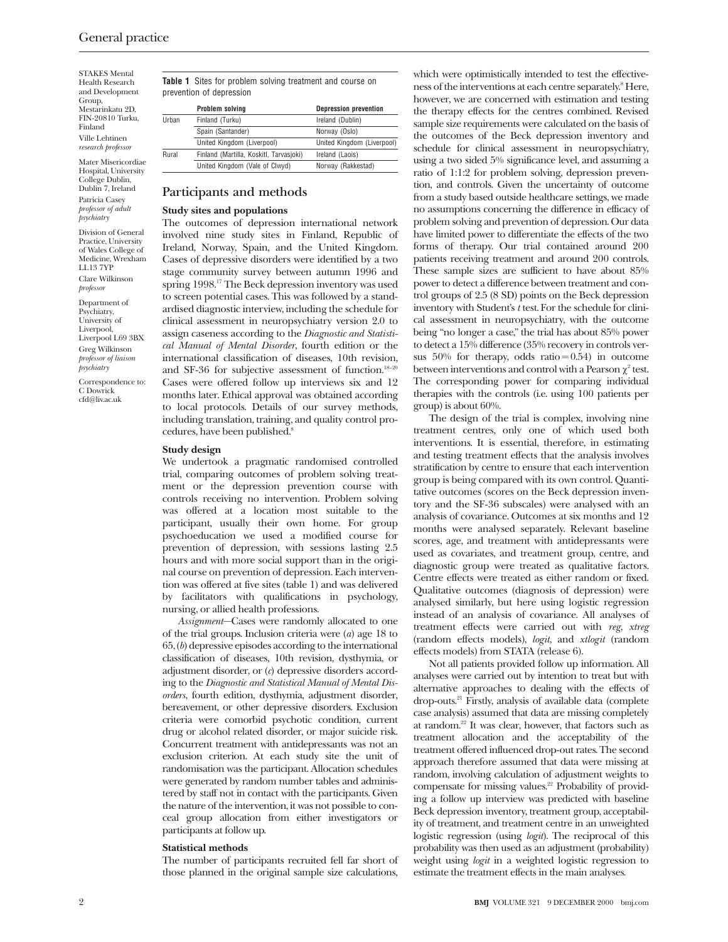STAKES Mental Health Research and Development Group, Mestarinkatu 2D, FIN-20810 Turku, Finland Ville Lehtinen *research professor*

Mater Misericordiae Hospital, University College Dublin, Dublin 7, Ireland Patricia Casey *professor of adult psychiatry*

Division of General Practice, University of Wales College of Medicine, Wrexham LL13 7YP Clare Wilkinson *professor*

Department of Psychiatry, University of Liverpool, Liverpool L69 3BX Greg Wilkinson *professor of liaison psychiatry*

Correspondence to: C Dowrick cfd@liv.ac.uk

**Table 1** Sites for problem solving treatment and course on prevention of depression

|       | Problem solving                         | <b>Depression prevention</b> |
|-------|-----------------------------------------|------------------------------|
| Urban | Finland (Turku)                         | Ireland (Dublin)             |
|       | Spain (Santander)                       | Norway (Oslo)                |
|       | United Kingdom (Liverpool)              | United Kingdom (Liverpool)   |
| Rural | Finland (Martilla, Koskitl, Tarvasjoki) | Ireland (Laois)              |
|       | United Kingdom (Vale of Clwyd)          | Norway (Rakkestad)           |

# **Participants and methods**

#### **Study sites and populations**

The outcomes of depression international network involved nine study sites in Finland, Republic of Ireland, Norway, Spain, and the United Kingdom. Cases of depressive disorders were identified by a two stage community survey between autumn 1996 and spring 1998.<sup>17</sup> The Beck depression inventory was used to screen potential cases. This was followed by a standardised diagnostic interview, including the schedule for clinical assessment in neuropsychiatry version 2.0 to assign caseness according to the *Diagnostic and Statistical Manual of Mental Disorder*, fourth edition or the international classification of diseases, 10th revision, and SF-36 for subjective assessment of function. $18-20$ Cases were offered follow up interviews six and 12 months later. Ethical approval was obtained according to local protocols. Details of our survey methods, including translation, training, and quality control procedures, have been published.<sup>8</sup>

#### **Study design**

We undertook a pragmatic randomised controlled trial, comparing outcomes of problem solving treatment or the depression prevention course with controls receiving no intervention. Problem solving was offered at a location most suitable to the participant, usually their own home. For group psychoeducation we used a modified course for prevention of depression, with sessions lasting 2.5 hours and with more social support than in the original course on prevention of depression. Each intervention was offered at five sites (table 1) and was delivered by facilitators with qualifications in psychology, nursing, or allied health professions.

*Assignment*—Cases were randomly allocated to one of the trial groups. Inclusion criteria were (*a*) age 18 to 65, (*b*) depressive episodes according to the international classification of diseases, 10th revision, dysthymia, or adjustment disorder, or (*c*) depressive disorders according to the *Diagnostic and Statistical Manual of Mental Disorders*, fourth edition, dysthymia, adjustment disorder, bereavement, or other depressive disorders. Exclusion criteria were comorbid psychotic condition, current drug or alcohol related disorder, or major suicide risk. Concurrent treatment with antidepressants was not an exclusion criterion. At each study site the unit of randomisation was the participant. Allocation schedules were generated by random number tables and administered by staff not in contact with the participants. Given the nature of the intervention, it was not possible to conceal group allocation from either investigators or participants at follow up.

#### **Statistical methods**

The number of participants recruited fell far short of those planned in the original sample size calculations,

which were optimistically intended to test the effectiveness of the interventions at each centre separately.<sup>8</sup> Here, however, we are concerned with estimation and testing the therapy effects for the centres combined. Revised sample size requirements were calculated on the basis of the outcomes of the Beck depression inventory and schedule for clinical assessment in neuropsychiatry, using a two sided 5% significance level, and assuming a ratio of 1:1:2 for problem solving, depression prevention, and controls. Given the uncertainty of outcome from a study based outside healthcare settings, we made no assumptions concerning the difference in efficacy of problem solving and prevention of depression. Our data have limited power to differentiate the effects of the two forms of therapy. Our trial contained around 200 patients receiving treatment and around 200 controls. These sample sizes are sufficient to have about 85% power to detect a difference between treatment and control groups of 2.5 (8 SD) points on the Beck depression inventory with Student's *t* test. For the schedule for clinical assessment in neuropsychiatry, with the outcome being "no longer a case," the trial has about 85% power to detect a 15% difference (35% recovery in controls versus  $50\%$  for therapy, odds ratio = 0.54) in outcome between interventions and control with a Pearson  $\chi^2$  test. The corresponding power for comparing individual therapies with the controls (i.e. using 100 patients per group) is about 60%.

The design of the trial is complex, involving nine treatment centres, only one of which used both interventions. It is essential, therefore, in estimating and testing treatment effects that the analysis involves stratification by centre to ensure that each intervention group is being compared with its own control. Quantitative outcomes (scores on the Beck depression inventory and the SF-36 subscales) were analysed with an analysis of covariance. Outcomes at six months and 12 months were analysed separately. Relevant baseline scores, age, and treatment with antidepressants were used as covariates, and treatment group, centre, and diagnostic group were treated as qualitative factors. Centre effects were treated as either random or fixed. Qualitative outcomes (diagnosis of depression) were analysed similarly, but here using logistic regression instead of an analysis of covariance. All analyses of treatment effects were carried out with *reg*, *xtreg* (random effects models), *logit*, and *xtlogit* (random effects models) from STATA (release 6).

Not all patients provided follow up information. All analyses were carried out by intention to treat but with alternative approaches to dealing with the effects of drop-outs.21 Firstly, analysis of available data (complete case analysis) assumed that data are missing completely at random.22 It was clear, however, that factors such as treatment allocation and the acceptability of the treatment offered influenced drop-out rates. The second approach therefore assumed that data were missing at random, involving calculation of adjustment weights to compensate for missing values.22 Probability of providing a follow up interview was predicted with baseline Beck depression inventory, treatment group, acceptability of treatment, and treatment centre in an unweighted logistic regression (using *logit*). The reciprocal of this probability was then used as an adjustment (probability) weight using *logit* in a weighted logistic regression to estimate the treatment effects in the main analyses.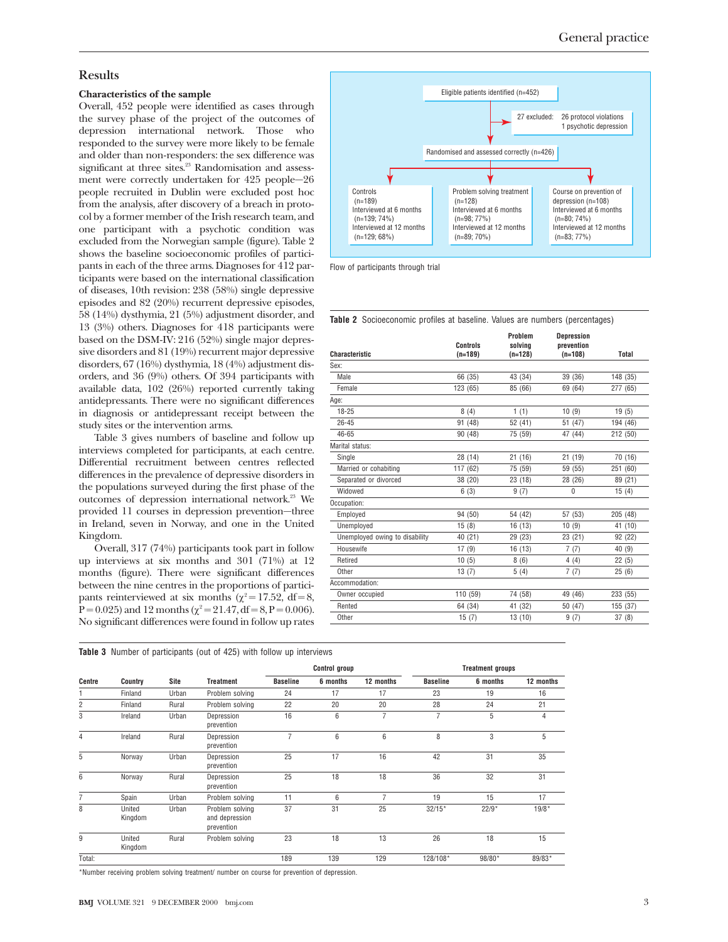# General practice

# **Results**

#### **Characteristics of the sample**

Overall, 452 people were identified as cases through the survey phase of the project of the outcomes of depression international network. Those who responded to the survey were more likely to be female and older than non-responders: the sex difference was significant at three sites.<sup>23</sup> Randomisation and assessment were correctly undertaken for 425 people—26 people recruited in Dublin were excluded post hoc from the analysis, after discovery of a breach in protocol by a former member of the Irish research team, and one participant with a psychotic condition was excluded from the Norwegian sample (figure). Table 2 shows the baseline socioeconomic profiles of participants in each of the three arms. Diagnoses for 412 participants were based on the international classification of diseases, 10th revision: 238 (58%) single depressive episodes and 82 (20%) recurrent depressive episodes, 58 (14%) dysthymia, 21 (5%) adjustment disorder, and 13 (3%) others. Diagnoses for 418 participants were based on the DSM-IV: 216 (52%) single major depressive disorders and 81 (19%) recurrent major depressive disorders, 67 (16%) dysthymia, 18 (4%) adjustment disorders, and 36 (9%) others. Of 394 participants with available data, 102 (26%) reported currently taking antidepressants. There were no significant differences in diagnosis or antidepressant receipt between the study sites or the intervention arms.

Table 3 gives numbers of baseline and follow up interviews completed for participants, at each centre. Differential recruitment between centres reflected differences in the prevalence of depressive disorders in the populations surveyed during the first phase of the outcomes of depression international network.<sup>23</sup> We provided 11 courses in depression prevention—three in Ireland, seven in Norway, and one in the United Kingdom.

Overall, 317 (74%) participants took part in follow up interviews at six months and 301 (71%) at 12 months (figure). There were significant differences between the nine centres in the proportions of participants reinterviewed at six months ( $\chi^2$  = 17.52, df = 8, P = 0.025) and 12 months ( $\chi^2$  = 21.47, df = 8, P = 0.006). No significant differences were found in follow up rates

**Table 3** Number of participants (out of 425) with follow up interviews

|                |                   |             |                                                 | <b>Control group</b> |          |           | <b>Treatment groups</b> |          |           |  |
|----------------|-------------------|-------------|-------------------------------------------------|----------------------|----------|-----------|-------------------------|----------|-----------|--|
| Centre         | Country           | <b>Site</b> | <b>Treatment</b>                                | <b>Baseline</b>      | 6 months | 12 months | <b>Baseline</b>         | 6 months | 12 months |  |
|                | Finland           | Urban       | Problem solving                                 | 24                   | 17       | 17        | 23                      | 19       | 16        |  |
| $\overline{c}$ | Finland           | Rural       | Problem solving                                 | 22                   | 20       | 20        | 28                      | 24       | 21        |  |
| 3              | Ireland           | Urban       | Depression<br>prevention                        | 16                   | 6        | 7         | $\overline{7}$          | 5        | 4         |  |
| 4              | Ireland           | Rural       | Depression<br>prevention                        | 7                    | 6        | 6         | 8                       | 3        | 5         |  |
| 5              | Norway            | Urban       | Depression<br>prevention                        | 25                   | 17       | 16        | 42                      | 31       | 35        |  |
| 6              | Norway            | Rural       | Depression<br>prevention                        | 25                   | 18       | 18        | 36                      | 32       | 31        |  |
| 7              | Spain             | Urban       | Problem solving                                 | 11                   | 6        | 7         | 19                      | 15       | 17        |  |
| 8              | United<br>Kingdom | Urban       | Problem solving<br>and depression<br>prevention | 37                   | 31       | 25        | $32/15*$                | $22/9*$  | $19/8*$   |  |
| 9              | United<br>Kingdom | Rural       | Problem solving                                 | 23                   | 18       | 13        | 26                      | 18       | 15        |  |
| Total:         |                   |             |                                                 | 189                  | 139      | 129       | 128/108*                | 98/80*   | 89/83*    |  |

\*Number receiving problem solving treatment/ number on course for prevention of depression.



Flow of participants through trial

|  | <b>Table 2</b> Socioeconomic profiles at baseline. Values are numbers (percentages) |  |  |  |  |  |  |  |  |  |
|--|-------------------------------------------------------------------------------------|--|--|--|--|--|--|--|--|--|
|--|-------------------------------------------------------------------------------------|--|--|--|--|--|--|--|--|--|

| <b>Characteristic</b>          | Controls<br>$(n=189)$ | Problem<br>solvina<br>$(n=128)$ | <b>Depression</b><br>prevention<br>$(n=108)$ | Total    |
|--------------------------------|-----------------------|---------------------------------|----------------------------------------------|----------|
| Sex:                           |                       |                                 |                                              |          |
| Male                           | 66 (35)               | 43 (34)                         | 39 (36)                                      | 148 (35) |
| Female                         | 123 (65)              | 85 (66)                         | 69 (64)                                      | 277 (65) |
| Age:                           |                       |                                 |                                              |          |
| $18 - 25$                      | 8(4)                  | 1(1)                            | 10(9)                                        | 19(5)    |
| $26 - 45$                      | 91 (48)               | 52 (41)                         | 51 (47)                                      | 194 (46) |
| 46-65                          | 90 (48)               | 75 (59)                         | 47 (44)                                      | 212 (50) |
| Marital status:                |                       |                                 |                                              |          |
| Single                         | 28 (14)               | 21(16)                          | 21(19)                                       | 70 (16)  |
| Married or cohabiting          | 117 (62)              | 75 (59)                         | 59 (55)                                      | 251 (60) |
| Separated or divorced          | 38 (20)               | 23 (18)                         | 28 (26)                                      | 89 (21)  |
| Widowed                        | 6(3)                  | 9(7)                            | $\Omega$                                     | 15(4)    |
| Occupation:                    |                       |                                 |                                              |          |
| Employed                       | 94 (50)               | 54 (42)                         | 57 (53)                                      | 205 (48) |
| Unemployed                     | 15(8)                 | 16(13)                          | 10(9)                                        | 41 (10)  |
| Unemployed owing to disability | 40 (21)               | 29 (23)                         | 23 (21)                                      | 92 (22)  |
| Housewife                      | 17(9)                 | 16 (13)                         | 7(7)                                         | 40(9)    |
| Retired                        | 10(5)                 | 8(6)                            | 4(4)                                         | 22(5)    |
| Other                          | 13(7)                 | 5(4)                            | 7(7)                                         | 25(6)    |
| Accommodation:                 |                       |                                 |                                              |          |
| Owner occupied                 | 110 (59)              | 74 (58)                         | 49 (46)                                      | 233 (55) |
| Rented                         | 64 (34)               | 41 (32)                         | 50 (47)                                      | 155 (37) |
| Other                          | 15(7)                 | 13 (10)                         | 9(7)                                         | 37(8)    |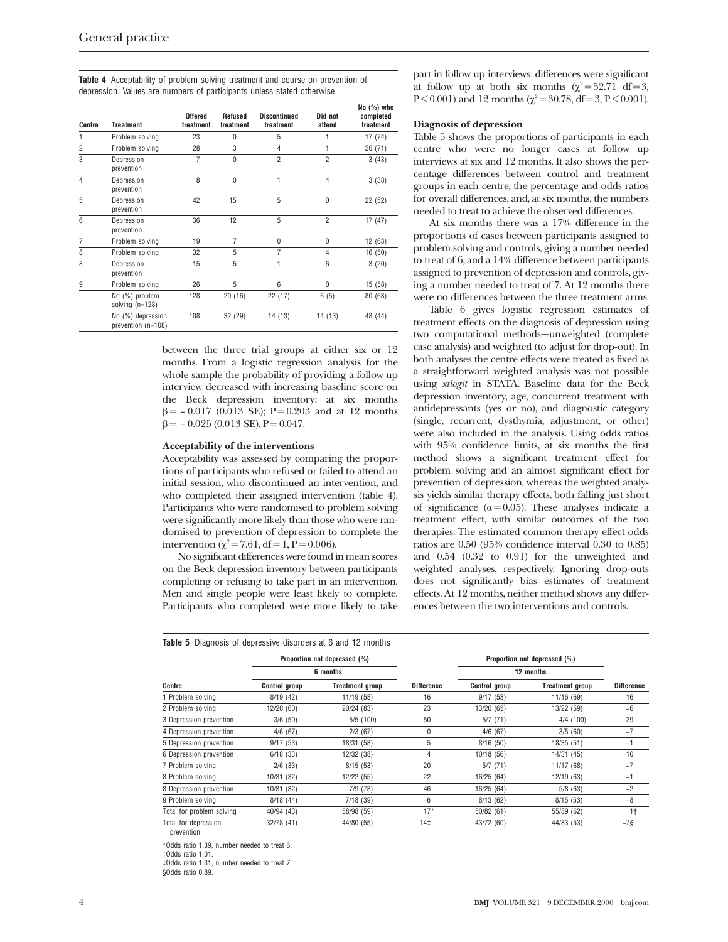**Table 4** Acceptability of problem solving treatment and course on prevention of depression. Values are numbers of participants unless stated otherwise

| Centre         | <b>Treatment</b>                        | <b>Offered</b><br>treatment | <b>Refused</b><br>treatment | <b>Discontinued</b><br>treatment | Did not<br>attend | NU (70) WIIU<br>completed<br>treatment |
|----------------|-----------------------------------------|-----------------------------|-----------------------------|----------------------------------|-------------------|----------------------------------------|
| 1              | Problem solving                         | 23                          | 0                           | 5                                | 1                 | 17(74)                                 |
| 2              | Problem solving                         | 28                          | 3                           | 4                                | 1                 | 20(71)                                 |
| 3              | Depression<br>prevention                | $\overline{7}$              | $\theta$                    | $\overline{2}$                   | $\overline{2}$    | 3(43)                                  |
| $\overline{4}$ | Depression<br>prevention                | 8                           | $\theta$                    | 1                                | $\overline{4}$    | 3(38)                                  |
| 5              | Depression<br>prevention                | 42                          | 15                          | 5                                | $\mathbf{0}$      | 22 (52)                                |
| 6              | Depression<br>prevention                | 36                          | 12                          | 5                                | $\overline{2}$    | 17(47)                                 |
| 7              | Problem solving                         | 19                          | 7                           | 0                                | 0                 | 12(63)                                 |
| 8              | Problem solving                         | 32                          | 5                           | 7                                | $\overline{4}$    | 16 (50)                                |
| 8              | Depression<br>prevention                | 15                          | 5                           | 1                                | 6                 | 3(20)                                  |
| 9              | Problem solving                         | 26                          | 5                           | 6                                | $\theta$          | 15(58)                                 |
|                | No (%) problem<br>solving $(n=128)$     | 128                         | 20(16)                      | 22 (17)                          | 6(5)              | 80 (63)                                |
|                | No (%) depression<br>prevention (n=108) | 108                         | 32 (29)                     | 14 (13)                          | 14 (13)           | 48 (44)                                |

between the three trial groups at either six or 12 months. From a logistic regression analysis for the whole sample the probability of providing a follow up interview decreased with increasing baseline score on the Beck depression inventory: at six months  $\beta$  = − 0.017 (0.013 SE); P = 0.203 and at 12 months  $\beta$  = -0.025 (0.013 SE), P = 0.047.

#### **Acceptability of the interventions**

Acceptability was assessed by comparing the proportions of participants who refused or failed to attend an initial session, who discontinued an intervention, and who completed their assigned intervention (table 4). Participants who were randomised to problem solving were significantly more likely than those who were randomised to prevention of depression to complete the intervention ( $\chi^2$  = 7.61, df = 1, P = 0.006).

No significant differences were found in mean scores on the Beck depression inventory between participants completing or refusing to take part in an intervention. Men and single people were least likely to complete. Participants who completed were more likely to take

part in follow up interviews: differences were significant at follow up at both six months  $(\chi^2 = 52.71 \text{ df} = 3,$ P < 0.001) and 12 months ( $\chi^2$  = 30.78, df = 3, P < 0.001).

#### **Diagnosis of depression**

**No (%) who**

Table 5 shows the proportions of participants in each centre who were no longer cases at follow up interviews at six and 12 months. It also shows the percentage differences between control and treatment groups in each centre, the percentage and odds ratios for overall differences, and, at six months, the numbers needed to treat to achieve the observed differences.

At six months there was a 17% difference in the proportions of cases between participants assigned to problem solving and controls, giving a number needed to treat of 6, and a 14% difference between participants assigned to prevention of depression and controls, giving a number needed to treat of 7. At 12 months there were no differences between the three treatment arms.

Table 6 gives logistic regression estimates of treatment effects on the diagnosis of depression using two computational methods—unweighted (complete case analysis) and weighted (to adjust for drop-out). In both analyses the centre effects were treated as fixed as a straightforward weighted analysis was not possible using *xtlogit* in STATA. Baseline data for the Beck depression inventory, age, concurrent treatment with antidepressants (yes or no), and diagnostic category (single, recurrent, dysthymia, adjustment, or other) were also included in the analysis. Using odds ratios with 95% confidence limits, at six months the first method shows a significant treatment effect for problem solving and an almost significant effect for prevention of depression, whereas the weighted analysis yields similar therapy effects, both falling just short of significance ( $\alpha$  = 0.05). These analyses indicate a treatment effect, with similar outcomes of the two therapies. The estimated common therapy effect odds ratios are 0.50 (95% confidence interval 0.30 to 0.85) and 0.54 (0.32 to 0.91) for the unweighted and weighted analyses, respectively. Ignoring drop-outs does not significantly bias estimates of treatment effects. At 12 months, neither method shows any differences between the two interventions and controls.

|                                    |                      | Proportion not depressed (%) |                   |                      | Proportion not depressed (%) |                   |
|------------------------------------|----------------------|------------------------------|-------------------|----------------------|------------------------------|-------------------|
|                                    |                      | 6 months                     |                   | 12 months            |                              |                   |
| Centre                             | <b>Control group</b> | <b>Treatment group</b>       | <b>Difference</b> | <b>Control group</b> | <b>Treatment group</b>       | <b>Difference</b> |
| 1 Problem solving                  | 8/19(42)             | 11/19 (58)                   | 16                | 9/17(53)             | 11/16 (69)                   | 16                |
| 2 Problem solving                  | 12/20 (60)           | 20/24 (83)                   | 23                | 13/20 (65)           | 13/22 (59)                   | $-6$              |
| 3 Depression prevention            | 3/6(50)              | 5/5(100)                     | 50                | 5/7(71)              | 4/4 (100)                    | 29                |
| 4 Depression prevention            | 4/6(67)              | 2/3(67)                      | 0                 | 4/6(67)              | 3/5(60)                      | $-7$              |
| 5 Depression prevention            | 9/17(53)             | 18/31 (58)                   | 5                 | 8/16(50)             | 18/35(51)                    | $-1$              |
| 6 Depression prevention            | 6/18(33)             | 12/32 (38)                   | 4                 | 10/18 (56)           | 14/31 (45)                   | $-10$             |
| 7 Problem solving                  | $2/6$ (33)           | 8/15(53)                     | 20                | 5/7 (71)             | 11/17 (68)                   | $-7$              |
| 8 Problem solving                  | 10/31 (32)           | 12/22 (55)                   | 22                | 16/25 (64)           | 12/19 (63)                   | $-1$              |
| 8 Depression prevention            | 10/31 (32)           | 7/9(78)                      | 46                | 16/25 (64)           | 5/8(63)                      | $-2$              |
| 9 Problem solving                  | 8/18(44)             | 7/18(39)                     | $-6$              | 8/13(62)             | 8/15(53)                     | $-8$              |
| Total for problem solving          | 40/94 (43)           | 58/98 (59)                   | $17*$             | 50/82(61)            | 55/89 (62)                   | 1 <sup>†</sup>    |
| Total for depression<br>prevention | 32/78 (41)           | 44/80 (55)                   | $14+$             | 43/72 (60)           | 44/83 (53)                   | $-7\$             |

\*Odds ratio 1.39, number needed to treat 6.

†Odds ratio 1.01.

‡Odds ratio 1.31, number needed to treat 7.

§Odds ratio 0.89.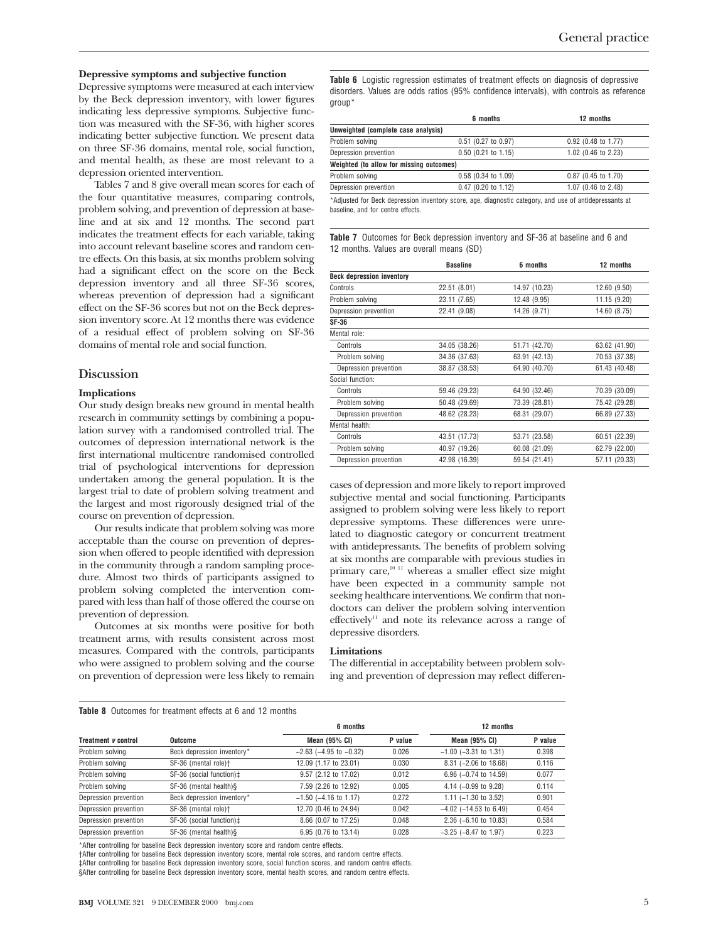#### **Depressive symptoms and subjective function**

Depressive symptoms were measured at each interview by the Beck depression inventory, with lower figures indicating less depressive symptoms. Subjective function was measured with the SF-36, with higher scores indicating better subjective function. We present data on three SF-36 domains, mental role, social function, and mental health, as these are most relevant to a depression oriented intervention.

Tables 7 and 8 give overall mean scores for each of the four quantitative measures, comparing controls, problem solving, and prevention of depression at baseline and at six and 12 months. The second part indicates the treatment effects for each variable, taking into account relevant baseline scores and random centre effects. On this basis, at six months problem solving had a significant effect on the score on the Beck depression inventory and all three SF-36 scores, whereas prevention of depression had a significant effect on the SF-36 scores but not on the Beck depression inventory score. At 12 months there was evidence of a residual effect of problem solving on SF-36 domains of mental role and social function.

# **Discussion**

#### **Implications**

Our study design breaks new ground in mental health research in community settings by combining a population survey with a randomised controlled trial. The outcomes of depression international network is the first international multicentre randomised controlled trial of psychological interventions for depression undertaken among the general population. It is the largest trial to date of problem solving treatment and the largest and most rigorously designed trial of the course on prevention of depression.

Our results indicate that problem solving was more acceptable than the course on prevention of depression when offered to people identified with depression in the community through a random sampling procedure. Almost two thirds of participants assigned to problem solving completed the intervention compared with less than half of those offered the course on prevention of depression.

Outcomes at six months were positive for both treatment arms, with results consistent across most measures. Compared with the controls, participants who were assigned to problem solving and the course on prevention of depression were less likely to remain **Table 6** Logistic regression estimates of treatment effects on diagnosis of depressive disorders. Values are odds ratios (95% confidence intervals), with controls as reference group\*

|                                          | 6 months                                                                                                              | 12 months             |
|------------------------------------------|-----------------------------------------------------------------------------------------------------------------------|-----------------------|
| Unweighted (complete case analysis)      |                                                                                                                       |                       |
| Problem solving                          | 0.51 (0.27 to 0.97)                                                                                                   | $0.92$ (0.48 to 1.77) |
| Depression prevention                    | $0.50$ (0.21 to 1.15)                                                                                                 | 1.02 (0.46 to 2.23)   |
| Weighted (to allow for missing outcomes) |                                                                                                                       |                       |
| Problem solving                          | 0.58 (0.34 to 1.09)                                                                                                   | 0.87 (0.45 to 1.70)   |
| Depression prevention                    | 0.47 (0.20 to 1.12)                                                                                                   | 1.07 (0.46 to 2.48)   |
|                                          | ⊕ Nothing at Basic Basic description formation is a commencer official and commenced their abbatches are commented to |                       |

Adjusted for Beck depression inventory score, age, diagnostic category, and use of antidepressants at baseline, and for centre effects.

**Table 7** Outcomes for Beck depression inventory and SF-36 at baseline and 6 and 12 months. Values are overall means (SD)

|                                  | <b>Baseline</b> | 6 months      | 12 months     |
|----------------------------------|-----------------|---------------|---------------|
| <b>Beck depression inventory</b> |                 |               |               |
| Controls                         | 22.51 (8.01)    | 14.97 (10.23) | 12.60 (9.50)  |
| Problem solving                  | 23.11 (7.65)    | 12.48 (9.95)  | 11.15 (9.20)  |
| Depression prevention            | 22.41 (9.08)    | 14.26 (9.71)  | 14.60 (8.75)  |
| SF-36                            |                 |               |               |
| Mental role:                     |                 |               |               |
| Controls                         | 34.05 (38.26)   | 51.71 (42.70) | 63.62 (41.90) |
| Problem solving                  | 34.36 (37.63)   | 63.91 (42.13) | 70.53 (37.38) |
| Depression prevention            | 38.87 (38.53)   | 64.90 (40.70) | 61.43 (40.48) |
| Social function:                 |                 |               |               |
| Controls                         | 59.46 (29.23)   | 64.90 (32.46) | 70.39 (30.09) |
| Problem solving                  | 50.48 (29.69)   | 73.39 (28.81) | 75.42 (29.28) |
| Depression prevention            | 48.62 (28.23)   | 68.31 (29.07) | 66.89 (27.33) |
| Mental health:                   |                 |               |               |
| Controls                         | 43.51 (17.73)   | 53.71 (23.58) | 60.51 (22.39) |
| Problem solving                  | 40.97 (19.26)   | 60.08 (21.09) | 62.79 (22.00) |
| Depression prevention            | 42.98 (16.39)   | 59.54 (21.41) | 57.11 (20.33) |
|                                  |                 |               |               |

cases of depression and more likely to report improved subjective mental and social functioning. Participants assigned to problem solving were less likely to report depressive symptoms. These differences were unrelated to diagnostic category or concurrent treatment with antidepressants. The benefits of problem solving at six months are comparable with previous studies in primary care, $1011}$  whereas a smaller effect size might have been expected in a community sample not seeking healthcare interventions. We confirm that nondoctors can deliver the problem solving intervention effectively<sup>11</sup> and note its relevance across a range of depressive disorders.

#### **Limitations**

The differential in acceptability between problem solving and prevention of depression may reflect differen-

#### **Table 8** Outcomes for treatment effects at 6 and 12 months

|                            |                                  | 6 months                       | 12 months |                                 |         |
|----------------------------|----------------------------------|--------------------------------|-----------|---------------------------------|---------|
| Treatment <i>v</i> control | Outcome                          | Mean (95% CI)                  | P value   | Mean $(95%$ CI)                 | P value |
| Problem solving            | Beck depression inventory*       | $-2.63$ ( $-4.95$ to $-0.32$ ) | 0.026     | $-1.00$ ( $-3.31$ to 1.31)      | 0.398   |
| Problem solving            | SF-36 (mental role) <sup>+</sup> | 12.09 (1.17 to 23.01)          | 0.030     | $8.31$ (-2.06 to 18.68)         | 0.116   |
| Problem solving            | SF-36 (social function)‡         | 9.57 (2.12 to 17.02)           | 0.012     | 6.96 $(-0.74$ to 14.59)         | 0.077   |
| Problem solving            | SF-36 (mental health)§           | 7.59 (2.26 to 12.92)           | 0.005     | 4.14 $(-0.99$ to 9.28)          | 0.114   |
| Depression prevention      | Beck depression inventory*       | $-1.50$ ( $-4.16$ to 1.17)     | 0.272     | 1.11 $(-1.30 \text{ to } 3.52)$ | 0.901   |
| Depression prevention      | SF-36 (mental role) <sup>+</sup> | 12.70 (0.46 to 24.94)          | 0.042     | $-4.02$ ( $-14.53$ to 6.49)     | 0.454   |
| Depression prevention      | SF-36 (social function)‡         | 8.66 (0.07 to 17.25)           | 0.048     | $2.36$ (-6.10 to 10.83)         | 0.584   |
| Depression prevention      | SF-36 (mental health)§           | 6.95 (0.76 to 13.14)           | 0.028     | $-3.25$ ( $-8.47$ to 1.97)      | 0.223   |

\*After controlling for baseline Beck depression inventory score and random centre effects.

†After controlling for baseline Beck depression inventory score, mental role scores, and random centre effects.

‡After controlling for baseline Beck depression inventory score, social function scores, and random centre effects.

§After controlling for baseline Beck depression inventory score, mental health scores, and random centre effects.